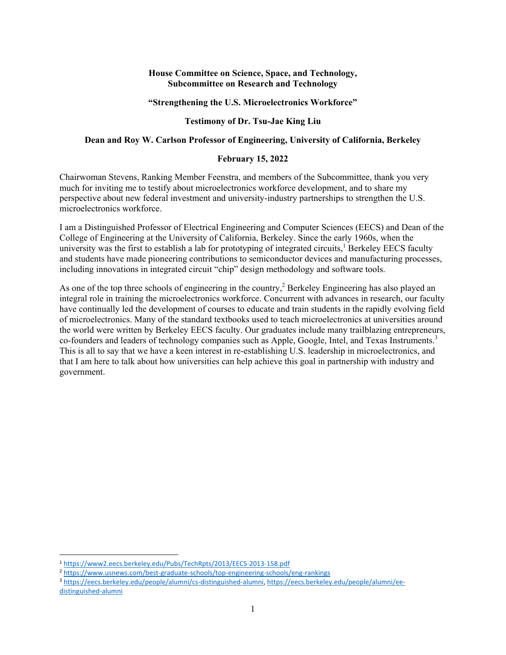## **House Committee on Science, Space, and Technology, Subcommittee on Research and Technology**

#### **"Strengthening the U.S. Microelectronics Workforce"**

## **Testimony of Dr. Tsu-Jae King Liu**

### **Dean and Roy W. Carlson Professor of Engineering, University of California, Berkeley**

### **February 15, 2022**

Chairwoman Stevens, Ranking Member Feenstra, and members of the Subcommittee, thank you very much for inviting me to testify about microelectronics workforce development, and to share my perspective about new federal investment and university-industry partnerships to strengthen the U.S. microelectronics workforce.

I am a Distinguished Professor of Electrical Engineering and Computer Sciences (EECS) and Dean of the College of Engineering at the University of California, Berkeley. Since the early 1960s, when the university was the first to establish a lab for prototyping of integrated circuits,<sup>1</sup> Berkeley EECS faculty and students have made pioneering contributions to semiconductor devices and manufacturing processes, including innovations in integrated circuit "chip" design methodology and software tools.

As one of the top three schools of engineering in the country,<sup>2</sup> Berkeley Engineering has also played an integral role in training the microelectronics workforce. Concurrent with advances in research, our faculty have continually led the development of courses to educate and train students in the rapidly evolving field of microelectronics. Many of the standard textbooks used to teach microelectronics at universities around the world were written by Berkeley EECS faculty. Our graduates include many trailblazing entrepreneurs, co-founders and leaders of technology companies such as Apple, Google, Intel, and Texas Instruments.<sup>3</sup> This is all to say that we have a keen interest in re-establishing U.S. leadership in microelectronics, and that I am here to talk about how universities can help achieve this goal in partnership with industry and government.

<sup>1</sup> https://www2.eecs.berkeley.edu/Pubs/TechRpts/2013/EECS‐2013‐158.pdf

<sup>&</sup>lt;sup>2</sup> https://www.usnews.com/best-graduate-schools/top-engineering-schools/eng-rankings

<sup>3</sup> https://eecs.berkeley.edu/people/alumni/cs‐distinguished‐alumni, https://eecs.berkeley.edu/people/alumni/ee‐ distinguished‐alumni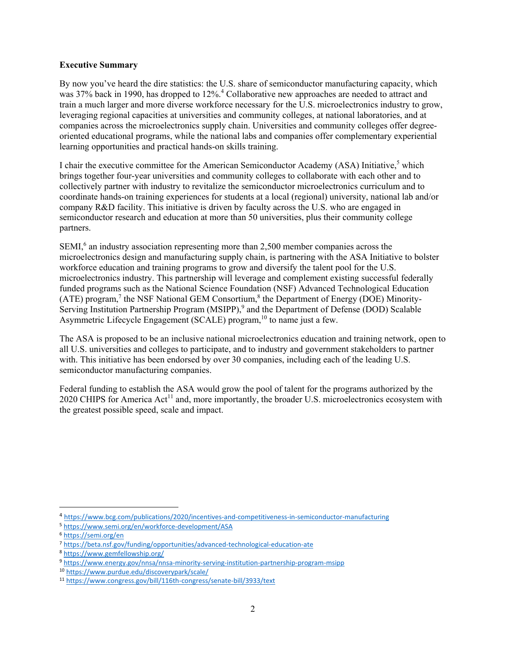## **Executive Summary**

By now you've heard the dire statistics: the U.S. share of semiconductor manufacturing capacity, which was 37% back in 1990, has dropped to 12%.<sup>4</sup> Collaborative new approaches are needed to attract and train a much larger and more diverse workforce necessary for the U.S. microelectronics industry to grow, leveraging regional capacities at universities and community colleges, at national laboratories, and at companies across the microelectronics supply chain. Universities and community colleges offer degreeoriented educational programs, while the national labs and companies offer complementary experiential learning opportunities and practical hands-on skills training.

I chair the executive committee for the American Semiconductor Academy (ASA) Initiative,<sup>5</sup> which brings together four-year universities and community colleges to collaborate with each other and to collectively partner with industry to revitalize the semiconductor microelectronics curriculum and to coordinate hands-on training experiences for students at a local (regional) university, national lab and/or company R&D facility. This initiative is driven by faculty across the U.S. who are engaged in semiconductor research and education at more than 50 universities, plus their community college partners.

SEMI, $6$  an industry association representing more than 2,500 member companies across the microelectronics design and manufacturing supply chain, is partnering with the ASA Initiative to bolster workforce education and training programs to grow and diversify the talent pool for the U.S. microelectronics industry. This partnership will leverage and complement existing successful federally funded programs such as the National Science Foundation (NSF) Advanced Technological Education  $(ATE)$  program,<sup>7</sup> the NSF National GEM Consortium,<sup>8</sup> the Department of Energy (DOE) Minority-Serving Institution Partnership Program (MSIPP),<sup>9</sup> and the Department of Defense (DOD) Scalable Asymmetric Lifecycle Engagement (SCALE) program,  $^{10}$  to name just a few.

The ASA is proposed to be an inclusive national microelectronics education and training network, open to all U.S. universities and colleges to participate, and to industry and government stakeholders to partner with. This initiative has been endorsed by over 30 companies, including each of the leading U.S. semiconductor manufacturing companies.

Federal funding to establish the ASA would grow the pool of talent for the programs authorized by the 2020 CHIPS for America Act<sup>11</sup> and, more importantly, the broader U.S. microelectronics ecosystem with the greatest possible speed, scale and impact.

<sup>4</sup> https://www.bcg.com/publications/2020/incentives‐and‐competitiveness‐in‐semiconductor‐manufacturing

<sup>5</sup> https://www.semi.org/en/workforce‐development/ASA

<sup>6</sup> https://semi.org/en

<sup>7</sup> https://beta.nsf.gov/funding/opportunities/advanced‐technological‐education‐ate

<sup>8</sup> https://www.gemfellowship.org/

<sup>9</sup> https://www.energy.gov/nnsa/nnsa-minority-serving-institution-partnership-program-msipp

<sup>10</sup> https://www.purdue.edu/discoverypark/scale/

<sup>11</sup> https://www.congress.gov/bill/116th‐congress/senate‐bill/3933/text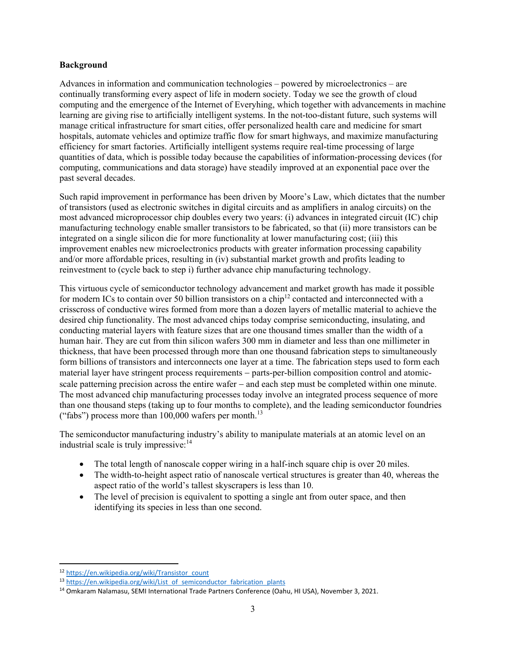### **Background**

Advances in information and communication technologies – powered by microelectronics – are continually transforming every aspect of life in modern society. Today we see the growth of cloud computing and the emergence of the Internet of Everyhing, which together with advancements in machine learning are giving rise to artificially intelligent systems. In the not-too-distant future, such systems will manage critical infrastructure for smart cities, offer personalized health care and medicine for smart hospitals, automate vehicles and optimize traffic flow for smart highways, and maximize manufacturing efficiency for smart factories. Artificially intelligent systems require real-time processing of large quantities of data, which is possible today because the capabilities of information-processing devices (for computing, communications and data storage) have steadily improved at an exponential pace over the past several decades.

Such rapid improvement in performance has been driven by Moore's Law, which dictates that the number of transistors (used as electronic switches in digital circuits and as amplifiers in analog circuits) on the most advanced microprocessor chip doubles every two years: (i) advances in integrated circuit (IC) chip manufacturing technology enable smaller transistors to be fabricated, so that (ii) more transistors can be integrated on a single silicon die for more functionality at lower manufacturing cost; (iii) this improvement enables new microelectronics products with greater information processing capability and/or more affordable prices, resulting in (iv) substantial market growth and profits leading to reinvestment to (cycle back to step i) further advance chip manufacturing technology.

This virtuous cycle of semiconductor technology advancement and market growth has made it possible for modern ICs to contain over 50 billion transistors on a chip<sup>12</sup> contacted and interconnected with a crisscross of conductive wires formed from more than a dozen layers of metallic material to achieve the desired chip functionality. The most advanced chips today comprise semiconducting, insulating, and conducting material layers with feature sizes that are one thousand times smaller than the width of a human hair. They are cut from thin silicon wafers 300 mm in diameter and less than one millimeter in thickness, that have been processed through more than one thousand fabrication steps to simultaneously form billions of transistors and interconnects one layer at a time. The fabrication steps used to form each material layer have stringent process requirements - parts-per-billion composition control and atomicscale patterning precision across the entire wafer – and each step must be completed within one minute. The most advanced chip manufacturing processes today involve an integrated process sequence of more than one thousand steps (taking up to four months to complete), and the leading semiconductor foundries ("fabs") process more than  $100,000$  wafers per month.<sup>13</sup>

The semiconductor manufacturing industry's ability to manipulate materials at an atomic level on an industrial scale is truly impressive: $14$ 

- The total length of nanoscale copper wiring in a half-inch square chip is over 20 miles.
- The width-to-height aspect ratio of nanoscale vertical structures is greater than 40, whereas the aspect ratio of the world's tallest skyscrapers is less than 10.
- The level of precision is equivalent to spotting a single ant from outer space, and then identifying its species in less than one second.

<sup>12</sup> https://en.wikipedia.org/wiki/Transistor\_count

<sup>13</sup> https://en.wikipedia.org/wiki/List\_of\_semiconductor\_fabrication\_plants

<sup>&</sup>lt;sup>14</sup> Omkaram Nalamasu, SEMI International Trade Partners Conference (Oahu, HI USA), November 3, 2021.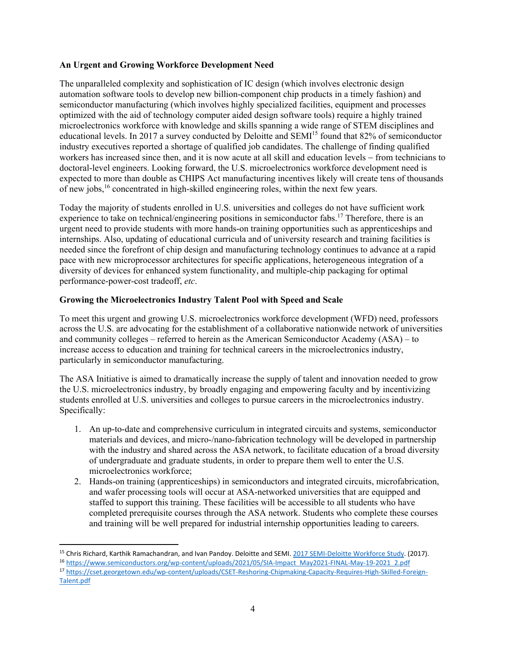# **An Urgent and Growing Workforce Development Need**

The unparalleled complexity and sophistication of IC design (which involves electronic design automation software tools to develop new billion-component chip products in a timely fashion) and semiconductor manufacturing (which involves highly specialized facilities, equipment and processes optimized with the aid of technology computer aided design software tools) require a highly trained microelectronics workforce with knowledge and skills spanning a wide range of STEM disciplines and educational levels. In 2017 a survey conducted by Deloitte and SEMI<sup>15</sup> found that 82% of semiconductor industry executives reported a shortage of qualified job candidates. The challenge of finding qualified workers has increased since then, and it is now acute at all skill and education levels – from technicians to doctoral-level engineers. Looking forward, the U.S. microelectronics workforce development need is expected to more than double as CHIPS Act manufacturing incentives likely will create tens of thousands of new jobs,<sup>16</sup> concentrated in high-skilled engineering roles, within the next few years.

Today the majority of students enrolled in U.S. universities and colleges do not have sufficient work experience to take on technical/engineering positions in semiconductor fabs.<sup>17</sup> Therefore, there is an urgent need to provide students with more hands-on training opportunities such as apprenticeships and internships. Also, updating of educational curricula and of university research and training facilities is needed since the forefront of chip design and manufacturing technology continues to advance at a rapid pace with new microprocessor architectures for specific applications, heterogeneous integration of a diversity of devices for enhanced system functionality, and multiple-chip packaging for optimal performance-power-cost tradeoff, *etc*.

# **Growing the Microelectronics Industry Talent Pool with Speed and Scale**

To meet this urgent and growing U.S. microelectronics workforce development (WFD) need, professors across the U.S. are advocating for the establishment of a collaborative nationwide network of universities and community colleges – referred to herein as the American Semiconductor Academy (ASA) – to increase access to education and training for technical careers in the microelectronics industry, particularly in semiconductor manufacturing.

The ASA Initiative is aimed to dramatically increase the supply of talent and innovation needed to grow the U.S. microelectronics industry, by broadly engaging and empowering faculty and by incentivizing students enrolled at U.S. universities and colleges to pursue careers in the microelectronics industry. Specifically:

- 1. An up-to-date and comprehensive curriculum in integrated circuits and systems, semiconductor materials and devices, and micro-/nano-fabrication technology will be developed in partnership with the industry and shared across the ASA network, to facilitate education of a broad diversity of undergraduate and graduate students, in order to prepare them well to enter the U.S. microelectronics workforce;
- 2. Hands-on training (apprenticeships) in semiconductors and integrated circuits, microfabrication, and wafer processing tools will occur at ASA-networked universities that are equipped and staffed to support this training. These facilities will be accessible to all students who have completed prerequisite courses through the ASA network. Students who complete these courses and training will be well prepared for industrial internship opportunities leading to careers.

<sup>15</sup> Chris Richard, Karthik Ramachandran, and Ivan Pandoy. Deloitte and SEMI. 2017 SEMI-Deloitte Workforce Study. (2017). 16 https://www.semiconductors.org/wp-content/uploads/2021/05/SIA-Impact\_May2021-FINAL-May-19-2021\_2.pdf <sup>17</sup> https://cset.georgetown.edu/wp‐content/uploads/CSET‐Reshoring‐Chipmaking‐Capacity‐Requires‐High‐Skilled‐Foreign‐

Talent.pdf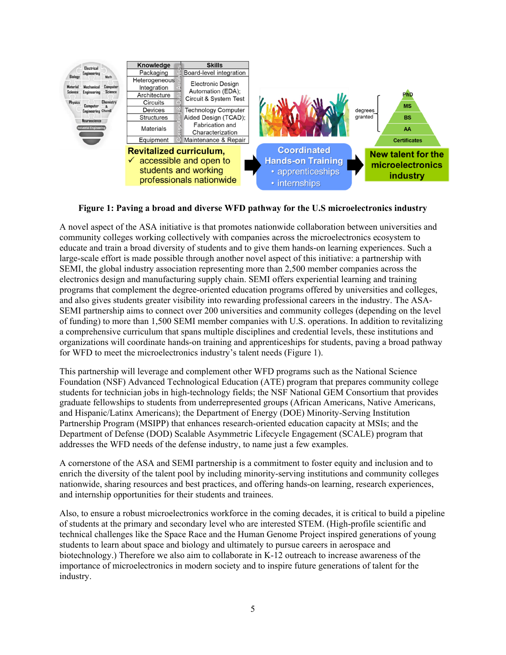

**Figure 1: Paving a broad and diverse WFD pathway for the U.S microelectronics industry** 

A novel aspect of the ASA initiative is that promotes nationwide collaboration between universities and community colleges working collectively with companies across the microelectronics ecosystem to educate and train a broad diversity of students and to give them hands-on learning experiences. Such a large-scale effort is made possible through another novel aspect of this initiative: a partnership with SEMI, the global industry association representing more than 2,500 member companies across the electronics design and manufacturing supply chain. SEMI offers experiential learning and training programs that complement the degree-oriented education programs offered by universities and colleges, and also gives students greater visibility into rewarding professional careers in the industry. The ASA-SEMI partnership aims to connect over 200 universities and community colleges (depending on the level of funding) to more than 1,500 SEMI member companies with U.S. operations. In addition to revitalizing a comprehensive curriculum that spans multiple disciplines and credential levels, these institutions and organizations will coordinate hands-on training and apprenticeships for students, paving a broad pathway for WFD to meet the microelectronics industry's talent needs (Figure 1).

This partnership will leverage and complement other WFD programs such as the National Science Foundation (NSF) Advanced Technological Education (ATE) program that prepares community college students for technician jobs in high-technology fields; the NSF National GEM Consortium that provides graduate fellowships to students from underrepresented groups (African Americans, Native Americans, and Hispanic/Latinx Americans); the Department of Energy (DOE) Minority-Serving Institution Partnership Program (MSIPP) that enhances research-oriented education capacity at MSIs; and the Department of Defense (DOD) Scalable Asymmetric Lifecycle Engagement (SCALE) program that addresses the WFD needs of the defense industry, to name just a few examples.

A cornerstone of the ASA and SEMI partnership is a commitment to foster equity and inclusion and to enrich the diversity of the talent pool by including minority-serving institutions and community colleges nationwide, sharing resources and best practices, and offering hands-on learning, research experiences, and internship opportunities for their students and trainees.

Also, to ensure a robust microelectronics workforce in the coming decades, it is critical to build a pipeline of students at the primary and secondary level who are interested STEM. (High-profile scientific and technical challenges like the Space Race and the Human Genome Project inspired generations of young students to learn about space and biology and ultimately to pursue careers in aerospace and biotechnology.) Therefore we also aim to collaborate in K-12 outreach to increase awareness of the importance of microelectronics in modern society and to inspire future generations of talent for the industry.